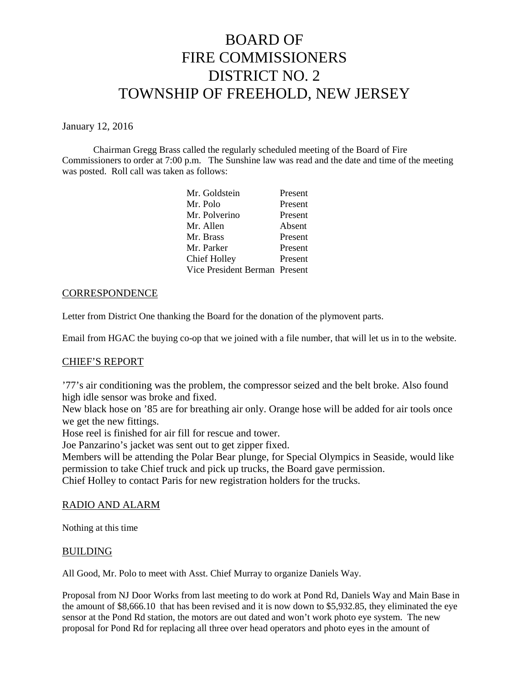# BOARD OF FIRE COMMISSIONERS DISTRICT NO. 2 TOWNSHIP OF FREEHOLD, NEW JERSEY

January 12, 2016

Chairman Gregg Brass called the regularly scheduled meeting of the Board of Fire Commissioners to order at 7:00 p.m. The Sunshine law was read and the date and time of the meeting was posted. Roll call was taken as follows:

| Mr. Goldstein                 | Present |
|-------------------------------|---------|
| Mr. Polo                      | Present |
| Mr. Polverino                 | Present |
| Mr. Allen                     | Absent  |
| Mr. Brass                     | Present |
| Mr. Parker                    | Present |
| <b>Chief Holley</b>           | Present |
| Vice President Berman Present |         |

# **CORRESPONDENCE**

Letter from District One thanking the Board for the donation of the plymovent parts.

Email from HGAC the buying co-op that we joined with a file number, that will let us in to the website.

## CHIEF'S REPORT

'77's air conditioning was the problem, the compressor seized and the belt broke. Also found high idle sensor was broke and fixed.

New black hose on '85 are for breathing air only. Orange hose will be added for air tools once we get the new fittings.

Hose reel is finished for air fill for rescue and tower.

Joe Panzarino's jacket was sent out to get zipper fixed.

Members will be attending the Polar Bear plunge, for Special Olympics in Seaside, would like permission to take Chief truck and pick up trucks, the Board gave permission.

Chief Holley to contact Paris for new registration holders for the trucks.

## RADIO AND ALARM

Nothing at this time

## BUILDING

All Good, Mr. Polo to meet with Asst. Chief Murray to organize Daniels Way.

Proposal from NJ Door Works from last meeting to do work at Pond Rd, Daniels Way and Main Base in the amount of \$8,666.10 that has been revised and it is now down to \$5,932.85, they eliminated the eye sensor at the Pond Rd station, the motors are out dated and won't work photo eye system. The new proposal for Pond Rd for replacing all three over head operators and photo eyes in the amount of